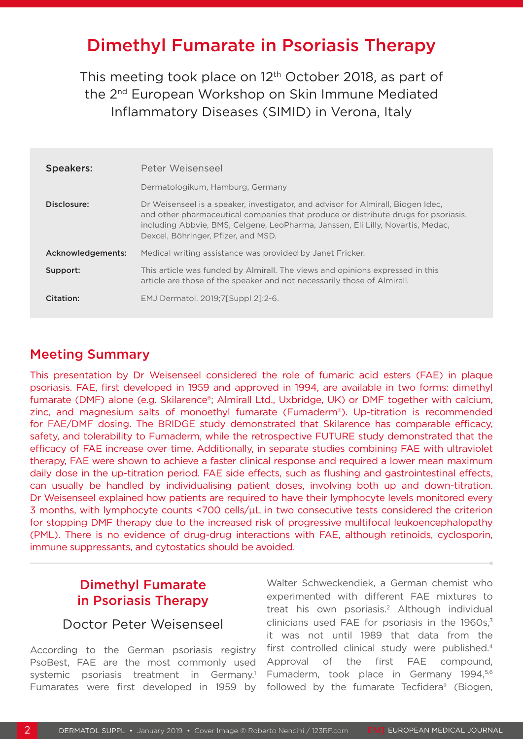# Dimethyl Fumarate in Psoriasis Therapy

This meeting took place on 12<sup>th</sup> October 2018, as part of the 2nd European Workshop on Skin Immune Mediated Inflammatory Diseases (SIMID) in Verona, Italy

| <b>Speakers:</b>  | Peter Weisenseel                                                                                                                                                                                                                                                                                 |
|-------------------|--------------------------------------------------------------------------------------------------------------------------------------------------------------------------------------------------------------------------------------------------------------------------------------------------|
|                   | Dermatologikum, Hamburg, Germany                                                                                                                                                                                                                                                                 |
| Disclosure:       | Dr Weisenseel is a speaker, investigator, and advisor for Almirall, Biogen Idec,<br>and other pharmaceutical companies that produce or distribute drugs for psoriasis,<br>including Abbyie, BMS, Celgene, LeoPharma, Janssen, Eli Lilly, Novartis, Medac,<br>Dexcel, Böhringer, Pfizer, and MSD. |
| Acknowledgements: | Medical writing assistance was provided by Janet Fricker.                                                                                                                                                                                                                                        |
| Support:          | This article was funded by Almirall. The views and opinions expressed in this<br>article are those of the speaker and not necessarily those of Almirall.                                                                                                                                         |
| Citation:         | EMJ Dermatol. 2019;7[Suppl 21:2-6.                                                                                                                                                                                                                                                               |

### Meeting Summary

This presentation by Dr Weisenseel considered the role of fumaric acid esters (FAE) in plaque psoriasis. FAE, first developed in 1959 and approved in 1994, are available in two forms: dimethyl fumarate (DMF) alone (e.g. Skilarence®; Almirall Ltd., Uxbridge, UK) or DMF together with calcium, zinc, and magnesium salts of monoethyl fumarate (Fumaderm®). Up-titration is recommended for FAE/DMF dosing. The BRIDGE study demonstrated that Skilarence has comparable efficacy, safety, and tolerability to Fumaderm, while the retrospective FUTURE study demonstrated that the efficacy of FAE increase over time. Additionally, in separate studies combining FAE with ultraviolet therapy, FAE were shown to achieve a faster clinical response and required a lower mean maximum daily dose in the up-titration period. FAE side effects, such as flushing and gastrointestinal effects, can usually be handled by individualising patient doses, involving both up and down-titration. Dr Weisenseel explained how patients are required to have their lymphocyte levels monitored every 3 months, with lymphocyte counts <700 cells/ $\mu$ L in two consecutive tests considered the criterion for stopping DMF therapy due to the increased risk of progressive multifocal leukoencephalopathy (PML). There is no evidence of drug-drug interactions with FAE, although retinoids, cyclosporin, immune suppressants, and cytostatics should be avoided.

# Dimethyl Fumarate in Psoriasis Therapy

## Doctor Peter Weisenseel

According to the German psoriasis registry PsoBest, FAE are the most commonly used systemic psoriasis treatment in Germany.<sup>1</sup> Fumarates were first developed in 1959 by

Walter Schweckendiek, a German chemist who experimented with different FAE mixtures to treat his own psoriasis.<sup>2</sup> Although individual clinicians used FAE for psoriasis in the  $1960s$ , $3$ it was not until 1989 that data from the first controlled clinical study were published.<sup>4</sup> Approval of the first FAE compound, Fumaderm, took place in Germany 1994,<sup>5,6</sup> followed by the fumarate Tecfidera® (Biogen,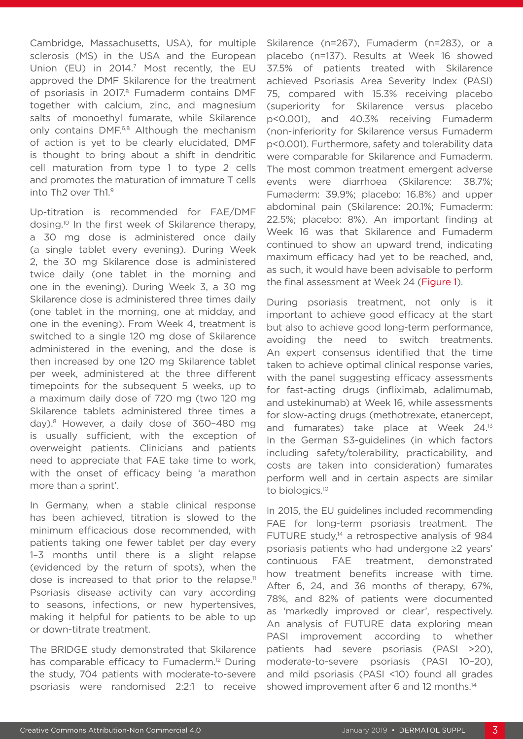Cambridge, Massachusetts, USA), for multiple sclerosis (MS) in the USA and the European Union (EU) in 2014.<sup>7</sup> Most recently, the EU approved the DMF Skilarence for the treatment of psoriasis in 2017.<sup>8</sup> Fumaderm contains DMF together with calcium, zinc, and magnesium salts of monoethyl fumarate, while Skilarence only contains DMF.6,8 Although the mechanism of action is yet to be clearly elucidated, DMF is thought to bring about a shift in dendritic cell maturation from type 1 to type 2 cells and promotes the maturation of immature T cells into Th2 over Th1.9

Up-titration is recommended for FAE/DMF dosing.10 In the first week of Skilarence therapy, a 30 mg dose is administered once daily (a single tablet every evening). During Week 2, the 30 mg Skilarence dose is administered twice daily (one tablet in the morning and one in the evening). During Week 3, a 30 mg Skilarence dose is administered three times daily (one tablet in the morning, one at midday, and one in the evening). From Week 4, treatment is switched to a single 120 mg dose of Skilarence administered in the evening, and the dose is then increased by one 120 mg Skilarence tablet per week, administered at the three different timepoints for the subsequent 5 weeks, up to a maximum daily dose of 720 mg (two 120 mg Skilarence tablets administered three times a day).8 However, a daily dose of 360–480 mg is usually sufficient, with the exception of overweight patients. Clinicians and patients need to appreciate that FAE take time to work, with the onset of efficacy being 'a marathon more than a sprint'.

In Germany, when a stable clinical response has been achieved, titration is slowed to the minimum efficacious dose recommended, with patients taking one fewer tablet per day every 1–3 months until there is a slight relapse (evidenced by the return of spots), when the dose is increased to that prior to the relapse.<sup>11</sup> Psoriasis disease activity can vary according to seasons, infections, or new hypertensives, making it helpful for patients to be able to up or down-titrate treatment.

The BRIDGE study demonstrated that Skilarence has comparable efficacy to Fumaderm.<sup>12</sup> During the study, 704 patients with moderate-to-severe psoriasis were randomised 2:2:1 to receive

Skilarence (n=267), Fumaderm (n=283), or a placebo (n=137). Results at Week 16 showed 37.5% of patients treated with Skilarence achieved Psoriasis Area Severity Index (PASI) 75, compared with 15.3% receiving placebo (superiority for Skilarence versus placebo p<0.001), and 40.3% receiving Fumaderm (non-inferiority for Skilarence versus Fumaderm p<0.001). Furthermore, safety and tolerability data were comparable for Skilarence and Fumaderm. The most common treatment emergent adverse events were diarrhoea (Skilarence: 38.7%; Fumaderm: 39.9%; placebo: 16.8%) and upper abdominal pain (Skilarence: 20.1%; Fumaderm: 22.5%; placebo: 8%). An important finding at Week 16 was that Skilarence and Fumaderm continued to show an upward trend, indicating maximum efficacy had yet to be reached, and, as such, it would have been advisable to perform the final assessment at Week 24 (Figure 1).

During psoriasis treatment, not only is it important to achieve good efficacy at the start but also to achieve good long-term performance, avoiding the need to switch treatments. An expert consensus identified that the time taken to achieve optimal clinical response varies, with the panel suggesting efficacy assessments for fast-acting drugs (infliximab, adalimumab, and ustekinumab) at Week 16, while assessments for slow-acting drugs (methotrexate, etanercept, and fumarates) take place at Week 24.13 In the German S3-guidelines (in which factors including safety/tolerability, practicability, and costs are taken into consideration) fumarates perform well and in certain aspects are similar to biologics.10

In 2015, the EU guidelines included recommending FAE for long-term psoriasis treatment. The FUTURE study, $14$  a retrospective analysis of 984 psoriasis patients who had undergone ≥2 years' continuous FAE treatment, demonstrated how treatment benefits increase with time. After 6, 24, and 36 months of therapy, 67%, 78%, and 82% of patients were documented as 'markedly improved or clear', respectively. An analysis of FUTURE data exploring mean PASI improvement according to whether patients had severe psoriasis (PASI >20), moderate-to-severe psoriasis (PASI 10–20), and mild psoriasis (PASI <10) found all grades showed improvement after 6 and 12 months.<sup>14</sup>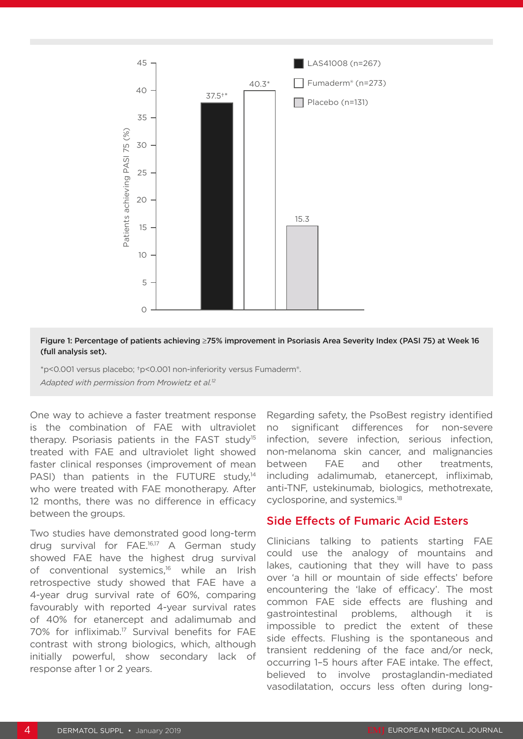

#### Figure 1: Percentage of patients achieving ≥75% improvement in Psoriasis Area Severity Index (PASI 75) at Week 16 (full analysis set).

\*p<0.001 versus placebo; †p<0.001 non-inferiority versus Fumaderm®.

One way to achieve a faster treatment response is the combination of FAE with ultraviolet therapy. Psoriasis patients in the FAST study15 treated with FAE and ultraviolet light showed faster clinical responses (improvement of mean PASI) than patients in the FUTURE study, $14$ who were treated with FAE monotherapy. After 12 months, there was no difference in efficacy between the groups.

Two studies have demonstrated good long-term drug survival for FAE.16,17 A German study showed FAE have the highest drug survival of conventional systemics,<sup>16</sup> while an Irish retrospective study showed that FAE have a 4-year drug survival rate of 60%, comparing favourably with reported 4-year survival rates of 40% for etanercept and adalimumab and 70% for infliximab.<sup>17</sup> Survival benefits for FAE contrast with strong biologics, which, although initially powerful, show secondary lack of response after 1 or 2 years.

Regarding safety, the PsoBest registry identified no significant differences for non-severe infection, severe infection, serious infection, non-melanoma skin cancer, and malignancies between FAE and other treatments, including adalimumab, etanercept, infliximab, anti-TNF, ustekinumab, biologics, methotrexate, cyclosporine, and systemics.18

### Side Effects of Fumaric Acid Esters

Clinicians talking to patients starting FAE could use the analogy of mountains and lakes, cautioning that they will have to pass over 'a hill or mountain of side effects' before encountering the 'lake of efficacy'. The most common FAE side effects are flushing and gastrointestinal problems, although it is impossible to predict the extent of these side effects. Flushing is the spontaneous and transient reddening of the face and/or neck, occurring 1–5 hours after FAE intake. The effect, believed to involve prostaglandin-mediated vasodilatation, occurs less often during long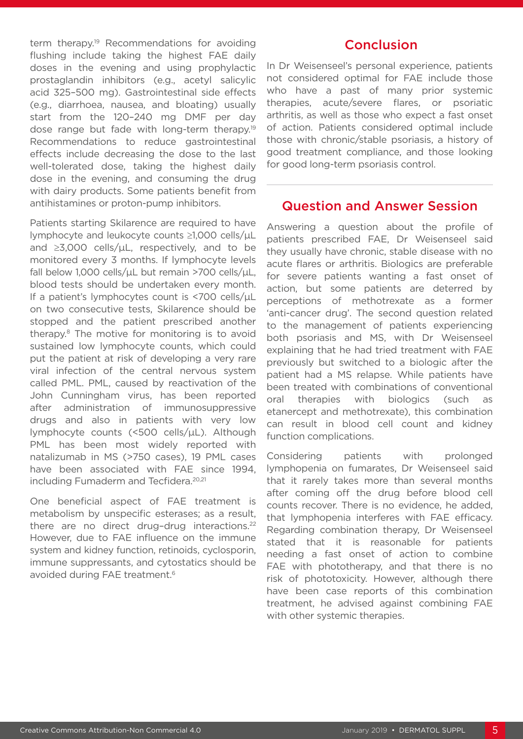term therapy.<sup>19</sup> Recommendations for avoiding flushing include taking the highest FAE daily doses in the evening and using prophylactic prostaglandin inhibitors (e.g., acetyl salicylic acid 325–500 mg). Gastrointestinal side effects (e.g., diarrhoea, nausea, and bloating) usually start from the 120–240 mg DMF per day dose range but fade with long-term therapy.<sup>19</sup> Recommendations to reduce gastrointestinal effects include decreasing the dose to the last well-tolerated dose, taking the highest daily dose in the evening, and consuming the drug with dairy products. Some patients benefit from antihistamines or proton-pump inhibitors.

Patients starting Skilarence are required to have lymphocyte and leukocyte counts ≥1,000 cells/µL and  $\geq 3,000$  cells/ $\mu$ L, respectively, and to be monitored every 3 months. If lymphocyte levels fall below 1,000 cells/ $\mu$ L but remain >700 cells/ $\mu$ L, blood tests should be undertaken every month. If a patient's lymphocytes count is <700 cells/uL on two consecutive tests, Skilarence should be stopped and the patient prescribed another therapy.8 The motive for monitoring is to avoid sustained low lymphocyte counts, which could put the patient at risk of developing a very rare viral infection of the central nervous system called PML. PML, caused by reactivation of the John Cunningham virus, has been reported after administration of immunosuppressive drugs and also in patients with very low lymphocyte counts (<500 cells/µL). Although PML has been most widely reported with natalizumab in MS (>750 cases), 19 PML cases have been associated with FAE since 1994, including Fumaderm and Tecfidera.<sup>20,21</sup>

One beneficial aspect of FAE treatment is metabolism by unspecific esterases; as a result, there are no direct drug-drug interactions.<sup>22</sup> However, due to FAE influence on the immune system and kidney function, retinoids, cyclosporin, immune suppressants, and cytostatics should be avoided during FAE treatment.<sup>6</sup>

# Conclusion

In Dr Weisenseel's personal experience, patients not considered optimal for FAE include those who have a past of many prior systemic therapies, acute/severe flares, or psoriatic arthritis, as well as those who expect a fast onset of action. Patients considered optimal include those with chronic/stable psoriasis, a history of good treatment compliance, and those looking for good long-term psoriasis control.

# Question and Answer Session

Answering a question about the profile of patients prescribed FAE, Dr Weisenseel said they usually have chronic, stable disease with no acute flares or arthritis. Biologics are preferable for severe patients wanting a fast onset of action, but some patients are deterred by perceptions of methotrexate as a former 'anti-cancer drug'. The second question related to the management of patients experiencing both psoriasis and MS, with Dr Weisenseel explaining that he had tried treatment with FAE previously but switched to a biologic after the patient had a MS relapse. While patients have been treated with combinations of conventional oral therapies with biologics (such as etanercept and methotrexate), this combination can result in blood cell count and kidney function complications.

Considering patients with prolonged lymphopenia on fumarates, Dr Weisenseel said that it rarely takes more than several months after coming off the drug before blood cell counts recover. There is no evidence, he added, that lymphopenia interferes with FAE efficacy. Regarding combination therapy, Dr Weisenseel stated that it is reasonable for patients needing a fast onset of action to combine FAE with phototherapy, and that there is no risk of phototoxicity. However, although there have been case reports of this combination treatment, he advised against combining FAE with other systemic therapies.